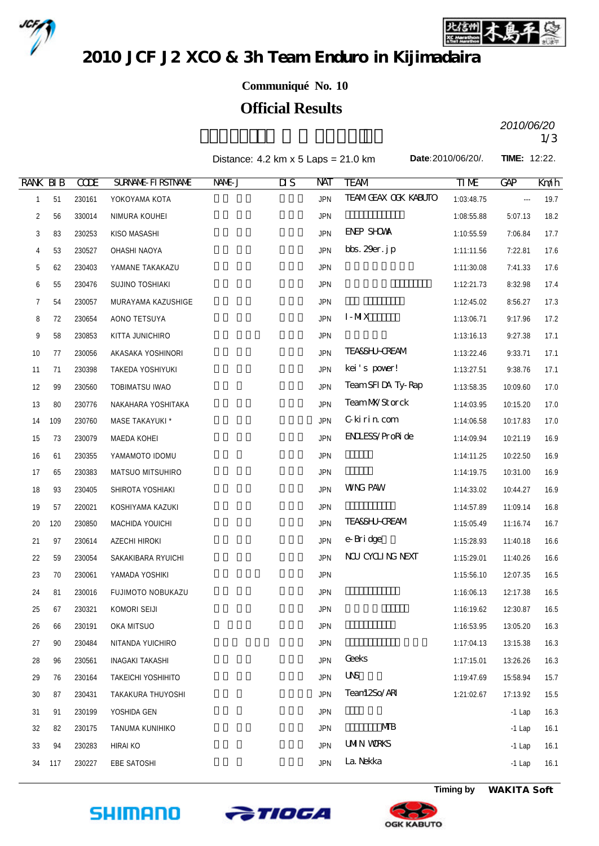



2010 JCF J2 XCO & 3h Team Enduro in Kijimadaira

## **Communiqué No. 10**

## **Official Results**

*2010/06/20*

Distance:  $4.2 \text{ km} \times 5 \text{ Laps} = 21.0 \text{ km}$ 

**Date:**2010/06/20/. **TIME:** 12:22.

| <b>RANK BIB</b> |     | <b>CCDE</b> | <b>SURVANE FIRSTIVANE</b> | NAME J | $\overline{\text{MS}}$ | NAT        | <b>TEAM</b>                | TIM        | <b>GAP</b> | Kníh |
|-----------------|-----|-------------|---------------------------|--------|------------------------|------------|----------------------------|------------|------------|------|
| $\mathbf{1}$    | 51  | 230161      | YOKOYAMA KOTA             |        |                        | <b>JPN</b> | <b>TEAMGEAX OCK KABUTO</b> | 1:03:48.75 | $\cdots$   | 19.7 |
| 2               | 56  | 330014      | NIMURA KOUHEI             |        |                        | <b>JPN</b> |                            | 1:08:55.88 | 5:07.13    | 18.2 |
| 3               | 83  | 230253      | KISO MASASHI              |        |                        | <b>JPN</b> | <b>ENEP SHOWN</b>          | 1:10:55.59 | 7:06.84    | 17.7 |
| 4               | 53  | 230527      | OHASHI NAOYA              |        |                        | <b>JPN</b> | bbs. $29er.$ j $p$         | 1:11:11.56 | 7:22.81    | 17.6 |
| 5               | 62  | 230403      | YAMANE TAKAKAZU           |        |                        | <b>JPN</b> |                            | 1:11:30.08 | 7:41.33    | 17.6 |
| 6               | 55  | 230476      | SUJINO TOSHIAKI           |        |                        | <b>JPN</b> |                            | 1:12:21.73 | 8:32.98    | 17.4 |
| 7               | 54  | 230057      | MURAYAMA KAZUSHIGE        |        |                        | <b>JPN</b> |                            | 1:12:45.02 | 8:56.27    | 17.3 |
| 8               | 72  | 230654      | AONO TETSUYA              |        |                        | <b>JPN</b> | $I-MX$                     | 1:13:06.71 | 9:17.96    | 17.2 |
| 9               | 58  | 230853      | KITTA JUNICHIRO           |        |                        | <b>JPN</b> |                            | 1:13:16.13 | 9:27.38    | 17.1 |
| 10              | 77  | 230056      | AKASAKA YOSHINORI         |        |                        | <b>JPN</b> | <b>TEA&amp;SHJ-CREAM</b>   | 1:13:22.46 | 9:33.71    | 17.1 |
| 11              | 71  | 230398      | TAKEDA YOSHIYUKI          |        |                        | <b>JPN</b> | kei's pover!               | 1:13:27.51 | 9:38.76    | 17.1 |
| 12              | 99  | 230560      | <b>TOBIMATSU IWAO</b>     |        |                        | <b>JPN</b> | TeamSFIDA Ty-Rap           | 1:13:58.35 | 10:09.60   | 17.0 |
| 13              | 80  | 230776      | NAKAHARA YOSHITAKA        |        |                        | <b>JPN</b> | TeamMYStorck               | 1:14:03.95 | 10:15.20   | 17.0 |
| 14              | 109 | 230760      | MASE TAKAYUKI *           |        |                        | <b>JPN</b> | Gkirincom                  | 1:14:06.58 | 10:17.83   | 17.0 |
| 15              | 73  | 230079      | MAEDA KOHEI               |        |                        | <b>JPN</b> | <b>ENLESS/ProRide</b>      | 1:14:09.94 | 10:21.19   | 16.9 |
| 16              | 61  | 230355      | YAMAMOTO IDOMU            |        |                        | <b>JPN</b> |                            | 1:14:11.25 | 10:22.50   | 16.9 |
| 17              | 65  | 230383      | MATSUO MITSUHIRO          |        |                        | <b>JPN</b> |                            | 1:14:19.75 | 10:31.00   | 16.9 |
| 18              | 93  | 230405      | SHIROTA YOSHIAKI          |        |                        | <b>JPN</b> | <b>WNG PAW</b>             | 1:14:33.02 | 10:44.27   | 16.9 |
| 19              | 57  | 220021      | KOSHIYAMA KAZUKI          |        |                        | <b>JPN</b> |                            | 1:14:57.89 | 11:09.14   | 16.8 |
| 20              | 120 | 230850      | MACHIDA YOUICHI           |        |                        | <b>JPN</b> | <b>TEA&amp;SHJ-CREAM</b>   | 1:15:05.49 | 11:16.74   | 16.7 |
| 21              | 97  | 230614      | AZECHI HIROKI             |        |                        | <b>JPN</b> | e-Bridge                   | 1:15:28.93 | 11:40.18   | 16.6 |
| 22              | 59  | 230054      | SAKAKIBARA RYUICHI        |        |                        | <b>JPN</b> | NU CYCLING NEXT            | 1:15:29.01 | 11:40.26   | 16.6 |
| 23              | 70  | 230061      | YAMADA YOSHIKI            |        |                        | <b>JPN</b> |                            | 1:15:56.10 | 12:07.35   | 16.5 |
| 24              | 81  | 230016      | <b>FUJIMOTO NOBUKAZU</b>  |        |                        | <b>JPN</b> |                            | 1:16:06.13 | 12:17.38   | 16.5 |
| 25              | 67  | 230321      | KOMORI SEIJI              |        |                        | <b>JPN</b> |                            | 1:16:19.62 | 12:30.87   | 16.5 |
| 26              | 66  | 230191      | OKA MITSUO                |        |                        | <b>JPN</b> |                            | 1:16:53.95 | 13:05.20   | 16.3 |
| 27              | 90  | 230484      | NITANDA YUICHIRO          |        |                        | <b>JPN</b> |                            | 1:17:04.13 | 13:15.38   | 16.3 |
| 28              | 96  | 230561      | <b>INAGAKI TAKASHI</b>    |        |                        | <b>JPN</b> | <b>Geeks</b>               | 1:17:15.01 | 13:26.26   | 16.3 |
| 29              | 76  | 230164      | <b>TAKEICHI YOSHIHITO</b> |        |                        | <b>JPN</b> | $\overline{U}$             | 1:19:47.69 | 15:58.94   | 15.7 |
| 30              | 87  | 230431      | TAKAKURA THUYOSHI         |        |                        | <b>JPN</b> | Tean12So/ARI               | 1:21:02.67 | 17:13.92   | 15.5 |
| 31              | 91  | 230199      | YOSHIDA GEN               |        |                        | JPN        |                            |            | $-1$ Lap   | 16.3 |
| 32              | 82  | 230175      | TANUMA KUNIHIKO           |        |                        | JPN        | MВ                         |            | $-1$ Lap   | 16.1 |
| 33              | 94  | 230283      | <b>HIRAI KO</b>           |        |                        | <b>JPN</b> | <b>UMIN WRKS</b>           |            | $-1$ Lap   | 16.1 |
| 34              | 117 | 230227      | EBE SATOSHI               |        |                        | <b>JPN</b> | La. Nekka                  |            | $-1$ Lap   | 16.1 |





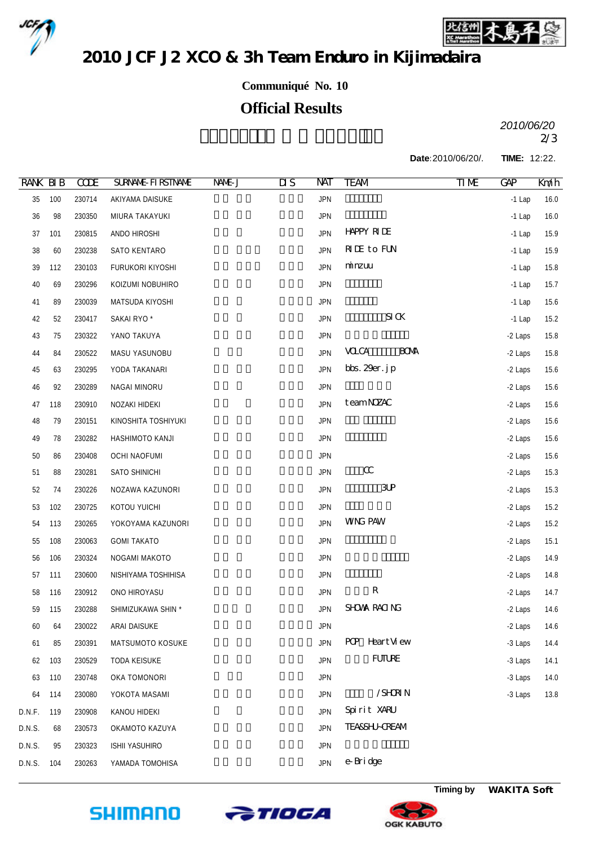



2010 JCF J2 XCO & 3h Team Enduro in Kijimadaira

**Communiqué No. 10**

## **Official Results**

 $2010/00720$ *2010/06/20*

**Date:**2010/06/20/. **TIME:** 12:22.

| <b>RANK BIB</b> |     | <b>CCDE</b> | <b>SURVANE FIRSTIVANE</b> | NAME J | $\overline{\text{MS}}$ | NAT        | TEAM                       | $\Pi$ ME | <b>GAP</b> | Km/h |
|-----------------|-----|-------------|---------------------------|--------|------------------------|------------|----------------------------|----------|------------|------|
| 35              | 100 | 230714      | AKIYAMA DAISUKE           |        |                        | <b>JPN</b> |                            |          | $-1$ Lap   | 16.0 |
| $36\,$          | 98  | 230350      | MIURA TAKAYUKI            |        |                        | <b>JPN</b> |                            |          | $-1$ Lap   | 16.0 |
| 37              | 101 | 230815      | ANDO HIROSHI              |        |                        | <b>JPN</b> | <b>HAPPY RIDE</b>          |          | $-1$ Lap   | 15.9 |
| 38              | 60  | 230238      | SATO KENTARO              |        |                        | <b>JPN</b> | <b>RIE</b> to FUN          |          | $-1$ Lap   | 15.9 |
| 39              | 112 | 230103      | FURUKORI KIYOSHI          |        |                        | <b>JPN</b> | minzuu                     |          | $-1$ Lap   | 15.8 |
| 40              | 69  | 230296      | KOIZUMI NOBUHIRO          |        |                        | <b>JPN</b> |                            |          | $-1$ Lap   | 15.7 |
| 41              | 89  | 230039      | MATSUDA KIYOSHI           |        |                        | <b>JPN</b> |                            |          | $-1$ Lap   | 15.6 |
| 42              | 52  | 230417      | SAKAI RYO <sup>*</sup>    |        |                        | <b>JPN</b> | $SI$ CK                    |          | $-1$ Lap   | 15.2 |
| 43              | 75  | 230322      | YANO TAKUYA               |        |                        | <b>JPN</b> |                            |          | -2 Laps    | 15.8 |
| 44              | 84  | 230522      | MASU YASUNOBU             |        |                        | <b>JPN</b> | <b>BOM</b><br><b>VOLCA</b> |          | -2 Laps    | 15.8 |
| 45              | 63  | 230295      | YODA TAKANARI             |        |                        | <b>JPN</b> | bbs. $29er.$ j $p$         |          | -2 Laps    | 15.6 |
| 46              | 92  | 230289      | NAGAI MINORU              |        |                        | <b>JPN</b> |                            |          | -2 Laps    | 15.6 |
| 47              | 118 | 230910      | NOZAKI HIDEKI             |        |                        | <b>JPN</b> | teamNYAC                   |          | -2 Laps    | 15.6 |
| 48              | 79  | 230151      | KINOSHITA TOSHIYUKI       |        |                        | <b>JPN</b> |                            |          | -2 Laps    | 15.6 |
| 49              | 78  | 230282      | HASHIMOTO KANJI           |        |                        | <b>JPN</b> |                            |          | -2 Laps    | 15.6 |
| $50\,$          | 86  | 230408      | <b>OCHI NAOFUMI</b>       |        |                        | <b>JPN</b> |                            |          | -2 Laps    | 15.6 |
| 51              | 88  | 230281      | SATO SHINICHI             |        |                        | <b>JPN</b> | $\alpha$                   |          | -2 Laps    | 15.3 |
| 52              | 74  | 230226      | NOZAWA KAZUNORI           |        |                        | <b>JPN</b> | $3$ UP                     |          | -2 Laps    | 15.3 |
| 53              | 102 | 230725      | KOTOU YUICHI              |        |                        | <b>JPN</b> |                            |          | -2 Laps    | 15.2 |
| 54              | 113 | 230265      | YOKOYAMA KAZUNORI         |        |                        | <b>JPN</b> | <b>WNG PAW</b>             |          | -2 Laps    | 15.2 |
| 55              | 108 | 230063      | <b>GOMI TAKATO</b>        |        |                        | <b>JPN</b> |                            |          | -2 Laps    | 15.1 |
| 56              | 106 | 230324      | NOGAMI MAKOTO             |        |                        | <b>JPN</b> |                            |          | -2 Laps    | 14.9 |
| 57              | 111 | 230600      | NISHIYAMA TOSHIHISA       |        |                        | <b>JPN</b> |                            |          | -2 Laps    | 14.8 |
| 58              | 116 | 230912      | ONO HIROYASU              |        |                        | <b>JPN</b> | ${\bf R}$                  |          | -2 Laps    | 14.7 |
| 59              | 115 | 230288      | SHIMIZUKAWA SHIN *        |        |                        | <b>JPN</b> | SHOWA RACING               |          | -2 Laps    | 14.6 |
| 60              | 64  | 230022      | ARAI DAISUKE              |        |                        | JPN        |                            |          | -2 Laps    | 14.6 |
| 61              | 85  | 230391      | MATSUMOTO KOSUKE          |        |                        | <b>JPN</b> | POP Heart View             |          | -3 Laps    | 14.4 |
| 62              | 103 | 230529      | <b>TODA KEISUKE</b>       |        |                        | <b>JPN</b> | <b>FUTURE</b>              |          | -3 Laps    | 14.1 |
| 63              | 110 | 230748      | OKA TOMONORI              |        |                        | <b>JPN</b> |                            |          | -3 Laps    | 14.0 |
| 64              | 114 | 230080      | YOKOTA MASAMI             |        |                        | <b>JPN</b> | /SHRIN                     |          | -3 Laps    | 13.8 |
| D.N.F.          | 119 | 230908      | KANOU HIDEKI              |        |                        | <b>JPN</b> | Spirit XARU                |          |            |      |
| D.N.S.          | 68  | 230573      | OKAMOTO KAZUYA            |        |                        | <b>JPN</b> | <b>TEASSHI-CREAM</b>       |          |            |      |
| D.N.S.          | 95  | 230323      | <b>ISHII YASUHIRO</b>     |        |                        | <b>JPN</b> |                            |          |            |      |
| D.N.S.          | 104 | 230263      | YAMADA TOMOHISA           |        |                        | <b>JPN</b> | e-Bridge                   |          |            |      |